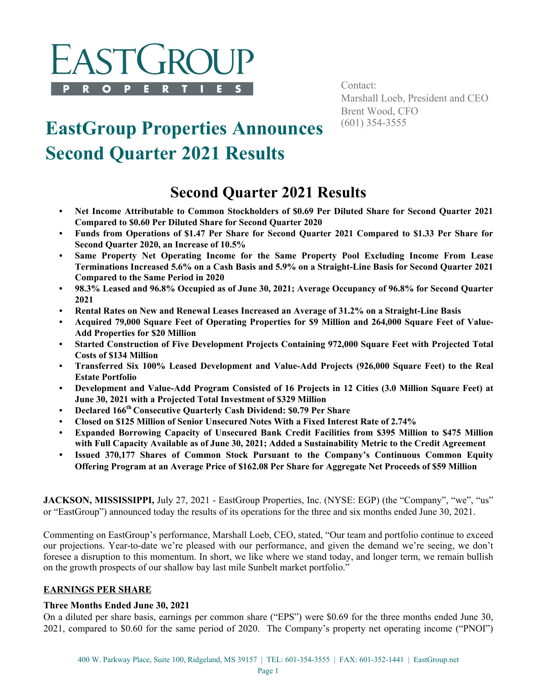

Contact: Marshall Loeb, President and CEO Brent Wood, CFO<br>(601) 354-3555

# **EastGroup Properties Announces Second Quarter 2021 Results**

## **Second Quarter 2021 Results**

- **Net Income Attributable to Common Stockholders of \$0.69 Per Diluted Share for Second Quarter 2021 Compared to \$0.60 Per Diluted Share for Second Quarter 2020**
- **Funds from Operations of \$1.47 Per Share for Second Quarter 2021 Compared to \$1.33 Per Share for Second Quarter 2020, an Increase of 10.5%**
- **Same Property Net Operating Income for the Same Property Pool Excluding Income From Lease Terminations Increased 5.6% on a Cash Basis and 5.9% on a Straight-Line Basis for Second Quarter 2021 Compared to the Same Period in 2020**
- **98.3% Leased and 96.8% Occupied as of June 30, 2021; Average Occupancy of 96.8% for Second Quarter 2021**
- **Rental Rates on New and Renewal Leases Increased an Average of 31.2% on a Straight-Line Basis**
- **Acquired 79,000 Square Feet of Operating Properties for \$9 Million and 264,000 Square Feet of Value-Add Properties for \$20 Million**
- **Started Construction of Five Development Projects Containing 972,000 Square Feet with Projected Total Costs of \$134 Million**
- **Transferred Six 100% Leased Development and Value-Add Projects (926,000 Square Feet) to the Real Estate Portfolio**
- **Development and Value-Add Program Consisted of 16 Projects in 12 Cities (3.0 Million Square Feet) at June 30, 2021 with a Projected Total Investment of \$329 Million**
- **Declared 166th Consecutive Quarterly Cash Dividend: \$0.79 Per Share**
- **Closed on \$125 Million of Senior Unsecured Notes With a Fixed Interest Rate of 2.74%**
- **Expanded Borrowing Capacity of Unsecured Bank Credit Facilities from \$395 Million to \$475 Million with Full Capacity Available as of June 30, 2021; Added a Sustainability Metric to the Credit Agreement**
- **• Issued 370,177 Shares of Common Stock Pursuant to the Company's Continuous Common Equity Offering Program at an Average Price of \$162.08 Per Share for Aggregate Net Proceeds of \$59 Million**

**JACKSON, MISSISSIPPI,** July 27, 2021 - EastGroup Properties, Inc. (NYSE: EGP) (the "Company", "we", "us" or "EastGroup") announced today the results of its operations for the three and six months ended June 30, 2021.

Commenting on EastGroup's performance, Marshall Loeb, CEO, stated, "Our team and portfolio continue to exceed our projections. Year-to-date we're pleased with our performance, and given the demand we're seeing, we don't foresee a disruption to this momentum. In short, we like where we stand today, and longer term, we remain bullish on the growth prospects of our shallow bay last mile Sunbelt market portfolio."

#### **EARNINGS PER SHARE**

#### **Three Months Ended June 30, 2021**

On a diluted per share basis, earnings per common share ("EPS") were \$0.69 for the three months ended June 30, 2021, compared to \$0.60 for the same period of 2020. The Company's property net operating income ("PNOI")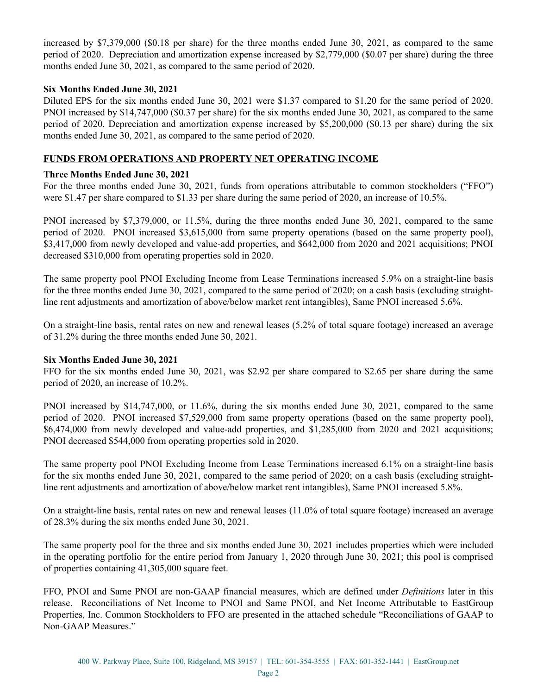increased by \$7,379,000 (\$0.18 per share) for the three months ended June 30, 2021, as compared to the same period of 2020. Depreciation and amortization expense increased by \$2,779,000 (\$0.07 per share) during the three months ended June 30, 2021, as compared to the same period of 2020.

#### **Six Months Ended June 30, 2021**

Diluted EPS for the six months ended June 30, 2021 were \$1.37 compared to \$1.20 for the same period of 2020. PNOI increased by \$14,747,000 (\$0.37 per share) for the six months ended June 30, 2021, as compared to the same period of 2020. Depreciation and amortization expense increased by \$5,200,000 (\$0.13 per share) during the six months ended June 30, 2021, as compared to the same period of 2020.

#### **FUNDS FROM OPERATIONS AND PROPERTY NET OPERATING INCOME**

#### **Three Months Ended June 30, 2021**

For the three months ended June 30, 2021, funds from operations attributable to common stockholders ("FFO") were \$1.47 per share compared to \$1.33 per share during the same period of 2020, an increase of 10.5%.

PNOI increased by \$7,379,000, or 11.5%, during the three months ended June 30, 2021, compared to the same period of 2020. PNOI increased \$3,615,000 from same property operations (based on the same property pool), \$3,417,000 from newly developed and value-add properties, and \$642,000 from 2020 and 2021 acquisitions; PNOI decreased \$310,000 from operating properties sold in 2020.

The same property pool PNOI Excluding Income from Lease Terminations increased 5.9% on a straight-line basis for the three months ended June 30, 2021, compared to the same period of 2020; on a cash basis (excluding straightline rent adjustments and amortization of above/below market rent intangibles), Same PNOI increased 5.6%.

On a straight-line basis, rental rates on new and renewal leases (5.2% of total square footage) increased an average of 31.2% during the three months ended June 30, 2021.

#### **Six Months Ended June 30, 2021**

FFO for the six months ended June 30, 2021, was \$2.92 per share compared to \$2.65 per share during the same period of 2020, an increase of 10.2%.

PNOI increased by \$14,747,000, or 11.6%, during the six months ended June 30, 2021, compared to the same period of 2020. PNOI increased \$7,529,000 from same property operations (based on the same property pool), \$6,474,000 from newly developed and value-add properties, and \$1,285,000 from 2020 and 2021 acquisitions; PNOI decreased \$544,000 from operating properties sold in 2020.

The same property pool PNOI Excluding Income from Lease Terminations increased 6.1% on a straight-line basis for the six months ended June 30, 2021, compared to the same period of 2020; on a cash basis (excluding straightline rent adjustments and amortization of above/below market rent intangibles), Same PNOI increased 5.8%.

On a straight-line basis, rental rates on new and renewal leases (11.0% of total square footage) increased an average of 28.3% during the six months ended June 30, 2021.

The same property pool for the three and six months ended June 30, 2021 includes properties which were included in the operating portfolio for the entire period from January 1, 2020 through June 30, 2021; this pool is comprised of properties containing 41,305,000 square feet.

FFO, PNOI and Same PNOI are non-GAAP financial measures, which are defined under *Definitions* later in this release. Reconciliations of Net Income to PNOI and Same PNOI, and Net Income Attributable to EastGroup Properties, Inc. Common Stockholders to FFO are presented in the attached schedule "Reconciliations of GAAP to Non-GAAP Measures."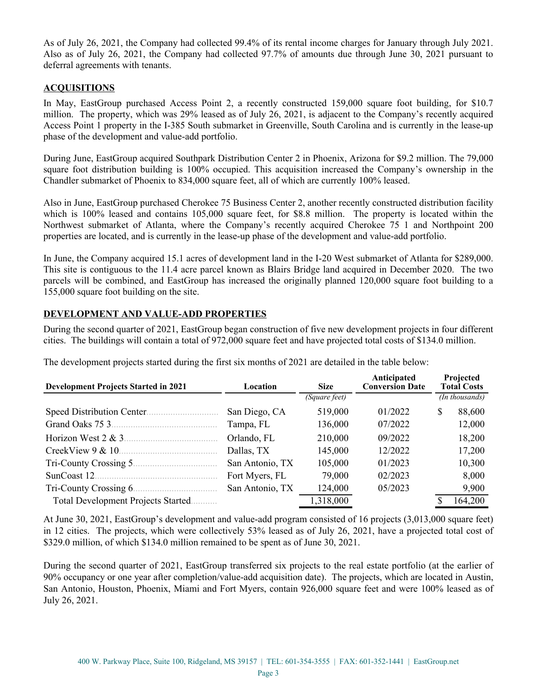As of July 26, 2021, the Company had collected 99.4% of its rental income charges for January through July 2021. Also as of July 26, 2021, the Company had collected 97.7% of amounts due through June 30, 2021 pursuant to deferral agreements with tenants.

#### **ACQUISITIONS**

In May, EastGroup purchased Access Point 2, a recently constructed 159,000 square foot building, for \$10.7 million. The property, which was 29% leased as of July 26, 2021, is adjacent to the Company's recently acquired Access Point 1 property in the I-385 South submarket in Greenville, South Carolina and is currently in the lease-up phase of the development and value-add portfolio.

During June, EastGroup acquired Southpark Distribution Center 2 in Phoenix, Arizona for \$9.2 million. The 79,000 square foot distribution building is 100% occupied. This acquisition increased the Company's ownership in the Chandler submarket of Phoenix to 834,000 square feet, all of which are currently 100% leased.

Also in June, EastGroup purchased Cherokee 75 Business Center 2, another recently constructed distribution facility which is 100% leased and contains 105,000 square feet, for \$8.8 million. The property is located within the Northwest submarket of Atlanta, where the Company's recently acquired Cherokee 75 1 and Northpoint 200 properties are located, and is currently in the lease-up phase of the development and value-add portfolio.

In June, the Company acquired 15.1 acres of development land in the I-20 West submarket of Atlanta for \$289,000. This site is contiguous to the 11.4 acre parcel known as Blairs Bridge land acquired in December 2020. The two parcels will be combined, and EastGroup has increased the originally planned 120,000 square foot building to a 155,000 square foot building on the site.

#### **DEVELOPMENT AND VALUE-ADD PROPERTIES**

During the second quarter of 2021, EastGroup began construction of five new development projects in four different cities. The buildings will contain a total of 972,000 square feet and have projected total costs of \$134.0 million.

| <b>Development Projects Started in 2021</b><br>Location |                 | <b>Size</b>   | Anticipated<br><b>Conversion Date</b> | Projected<br><b>Total Costs</b> |                |
|---------------------------------------------------------|-----------------|---------------|---------------------------------------|---------------------------------|----------------|
|                                                         |                 | (Square feet) |                                       |                                 | (In thousands) |
| Speed Distribution Center.                              | San Diego, CA   | 519,000       | 01/2022                               | \$                              | 88,600         |
| Grand Oaks 75 3.                                        | Tampa, FL       | 136,000       | 07/2022                               |                                 | 12,000         |
| Horizon West $2 & 3$ .                                  | Orlando, FL     | 210,000       | 09/2022                               |                                 | 18,200         |
| CreekView 9 & 10.                                       | Dallas, TX      | 145,000       | 12/2022                               |                                 | 17,200         |
| Tri-County Crossing 5.                                  | San Antonio, TX | 105,000       | 01/2023                               |                                 | 10,300         |
| SunCoast 12.                                            | Fort Myers, FL  | 79,000        | 02/2023                               |                                 | 8,000          |
| Tri-County Crossing 6.                                  | San Antonio, TX | 124,000       | 05/2023                               |                                 | 9,900          |
| <b>Total Development Projects Started.</b>              |                 | 1,318,000     |                                       |                                 | 164,200        |

The development projects started during the first six months of 2021 are detailed in the table below:

At June 30, 2021, EastGroup's development and value-add program consisted of 16 projects (3,013,000 square feet) in 12 cities. The projects, which were collectively 53% leased as of July 26, 2021, have a projected total cost of \$329.0 million, of which \$134.0 million remained to be spent as of June 30, 2021.

During the second quarter of 2021, EastGroup transferred six projects to the real estate portfolio (at the earlier of 90% occupancy or one year after completion/value-add acquisition date). The projects, which are located in Austin, San Antonio, Houston, Phoenix, Miami and Fort Myers, contain 926,000 square feet and were 100% leased as of July 26, 2021.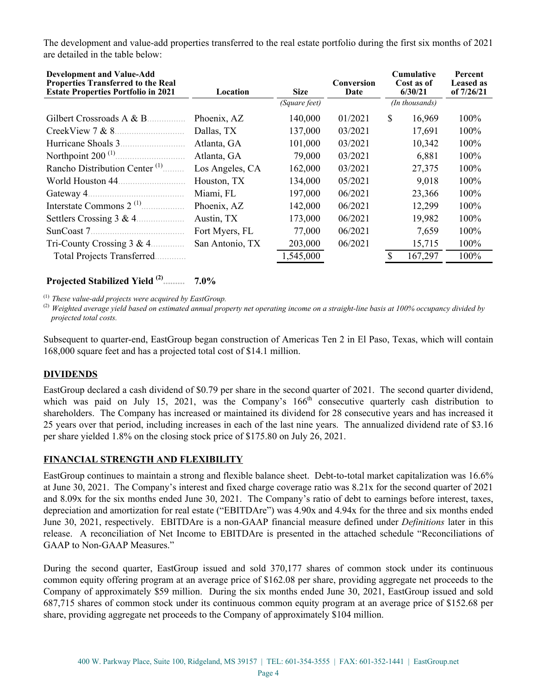The development and value-add properties transferred to the real estate portfolio during the first six months of 2021 are detailed in the table below:

| <b>Development and Value-Add</b><br><b>Properties Transferred to the Real</b><br><b>Estate Properties Portfolio in 2021</b> | Location        | <b>Cumulative</b><br>Conversion<br>Cost as of<br><b>Size</b><br>6/30/21<br>Date |         |    | Percent<br><b>Leased as</b><br>of 7/26/21 |      |
|-----------------------------------------------------------------------------------------------------------------------------|-----------------|---------------------------------------------------------------------------------|---------|----|-------------------------------------------|------|
|                                                                                                                             |                 | (Square feet)                                                                   |         |    | (In thousands)                            |      |
| Gilbert Crossroads A & B.                                                                                                   | Phoenix, AZ     | 140,000                                                                         | 01/2021 | S  | 16,969                                    | 100% |
| CreekView 7 & 8.                                                                                                            | Dallas, TX      | 137,000                                                                         | 03/2021 |    | 17,691                                    | 100% |
| Hurricane Shoals 3.                                                                                                         | Atlanta, GA     | 101,000                                                                         | 03/2021 |    | 10,342                                    | 100% |
| Northpoint $200$ <sup>(1)</sup>                                                                                             | Atlanta, GA     | 79,000                                                                          | 03/2021 |    | 6,881                                     | 100% |
| Rancho Distribution Center <sup>(1)</sup>                                                                                   | Los Angeles, CA | 162,000                                                                         | 03/2021 |    | 27,375                                    | 100% |
| World Houston 44.                                                                                                           | Houston, TX     | 134,000                                                                         | 05/2021 |    | 9,018                                     | 100% |
| Gateway 4.                                                                                                                  | Miami, FL       | 197,000                                                                         | 06/2021 |    | 23,366                                    | 100% |
|                                                                                                                             | Phoenix, AZ     | 142,000                                                                         | 06/2021 |    | 12,299                                    | 100% |
| Settlers Crossing $3 & 4$                                                                                                   | Austin, TX      | 173,000                                                                         | 06/2021 |    | 19,982                                    | 100% |
| SunCoast 7.                                                                                                                 | Fort Myers, FL  | 77,000                                                                          | 06/2021 |    | 7,659                                     | 100% |
| Tri-County Crossing $3 & 4$ .                                                                                               | San Antonio, TX | 203,000                                                                         | 06/2021 |    | 15,715                                    | 100% |
| <b>Total Projects Transferred.</b>                                                                                          |                 | 1,545,000                                                                       |         | £. | 167,297                                   | 100% |

#### **Projected Stabilized Yield (2) ......... 7.0%**

(1) *These value-add projects were acquired by EastGroup.* 

(2) *Weighted average yield based on estimated annual property net operating income on a straight-line basis at 100% occupancy divided by projected total costs.* 

Subsequent to quarter-end, EastGroup began construction of Americas Ten 2 in El Paso, Texas, which will contain 168,000 square feet and has a projected total cost of \$14.1 million.

#### **DIVIDENDS**

EastGroup declared a cash dividend of \$0.79 per share in the second quarter of 2021. The second quarter dividend, which was paid on July 15, 2021, was the Company's  $166<sup>th</sup>$  consecutive quarterly cash distribution to shareholders. The Company has increased or maintained its dividend for 28 consecutive years and has increased it 25 years over that period, including increases in each of the last nine years. The annualized dividend rate of \$3.16 per share yielded 1.8% on the closing stock price of \$175.80 on July 26, 2021.

#### **FINANCIAL STRENGTH AND FLEXIBILITY**

EastGroup continues to maintain a strong and flexible balance sheet. Debt-to-total market capitalization was 16.6% at June 30, 2021. The Company's interest and fixed charge coverage ratio was 8.21x for the second quarter of 2021 and 8.09x for the six months ended June 30, 2021. The Company's ratio of debt to earnings before interest, taxes, depreciation and amortization for real estate ("EBITDAre") was 4.90x and 4.94x for the three and six months ended June 30, 2021, respectively. EBITDAre is a non-GAAP financial measure defined under *Definitions* later in this release. A reconciliation of Net Income to EBITDAre is presented in the attached schedule "Reconciliations of GAAP to Non-GAAP Measures."

During the second quarter, EastGroup issued and sold 370,177 shares of common stock under its continuous common equity offering program at an average price of \$162.08 per share, providing aggregate net proceeds to the Company of approximately \$59 million. During the six months ended June 30, 2021, EastGroup issued and sold 687,715 shares of common stock under its continuous common equity program at an average price of \$152.68 per share, providing aggregate net proceeds to the Company of approximately \$104 million.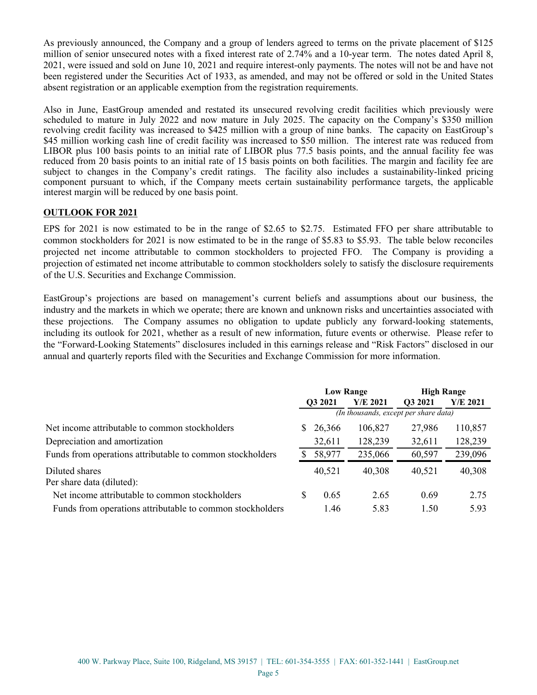As previously announced, the Company and a group of lenders agreed to terms on the private placement of \$125 million of senior unsecured notes with a fixed interest rate of 2.74% and a 10-year term. The notes dated April 8, 2021, were issued and sold on June 10, 2021 and require interest-only payments. The notes will not be and have not been registered under the Securities Act of 1933, as amended, and may not be offered or sold in the United States absent registration or an applicable exemption from the registration requirements.

Also in June, EastGroup amended and restated its unsecured revolving credit facilities which previously were scheduled to mature in July 2022 and now mature in July 2025. The capacity on the Company's \$350 million revolving credit facility was increased to \$425 million with a group of nine banks. The capacity on EastGroup's \$45 million working cash line of credit facility was increased to \$50 million. The interest rate was reduced from LIBOR plus 100 basis points to an initial rate of LIBOR plus 77.5 basis points, and the annual facility fee was reduced from 20 basis points to an initial rate of 15 basis points on both facilities. The margin and facility fee are subject to changes in the Company's credit ratings. The facility also includes a sustainability-linked pricing component pursuant to which, if the Company meets certain sustainability performance targets, the applicable interest margin will be reduced by one basis point.

#### **OUTLOOK FOR 2021**

EPS for 2021 is now estimated to be in the range of \$2.65 to \$2.75. Estimated FFO per share attributable to common stockholders for 2021 is now estimated to be in the range of \$5.83 to \$5.93. The table below reconciles projected net income attributable to common stockholders to projected FFO. The Company is providing a projection of estimated net income attributable to common stockholders solely to satisfy the disclosure requirements of the U.S. Securities and Exchange Commission.

EastGroup's projections are based on management's current beliefs and assumptions about our business, the industry and the markets in which we operate; there are known and unknown risks and uncertainties associated with these projections. The Company assumes no obligation to update publicly any forward-looking statements, including its outlook for 2021, whether as a result of new information, future events or otherwise. Please refer to the "Forward-Looking Statements" disclosures included in this earnings release and "Risk Factors" disclosed in our annual and quarterly reports filed with the Securities and Exchange Commission for more information.

|                                                           | <b>Low Range</b> |        |            | <b>High Range</b>                     |          |  |
|-----------------------------------------------------------|------------------|--------|------------|---------------------------------------|----------|--|
|                                                           | Q3 2021          |        | $Y/E$ 2021 | Q3 2021                               | Y/E 2021 |  |
|                                                           |                  |        |            | (In thousands, except per share data) |          |  |
| Net income attributable to common stockholders            | S.               | 26,366 | 106,827    | 27,986                                | 110,857  |  |
| Depreciation and amortization                             |                  | 32,611 | 128,239    | 32,611                                | 128,239  |  |
| Funds from operations attributable to common stockholders |                  | 58,977 | 235,066    | 60,597                                | 239,096  |  |
| Diluted shares<br>Per share data (diluted):               |                  | 40,521 | 40,308     | 40,521                                | 40,308   |  |
| Net income attributable to common stockholders            | S                | 0.65   | 2.65       | 0.69                                  | 2.75     |  |
| Funds from operations attributable to common stockholders |                  | 1.46   | 5.83       | 1.50                                  | 5.93     |  |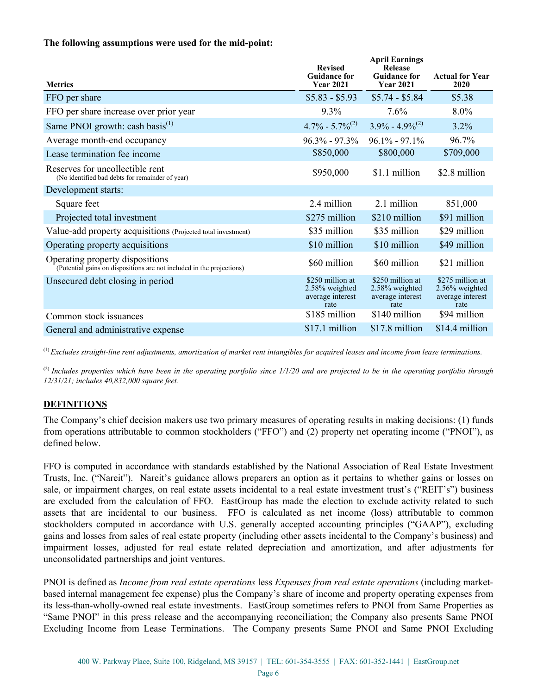#### **The following assumptions were used for the mid-point:**

| <b>Metrics</b>                                                                                           | <b>Revised</b><br><b>Guidance for</b><br><b>Year 2021</b>      | <b>April Earnings</b><br>Release<br><b>Guidance for</b><br><b>Year 2021</b> | <b>Actual for Year</b><br>2020                                    |
|----------------------------------------------------------------------------------------------------------|----------------------------------------------------------------|-----------------------------------------------------------------------------|-------------------------------------------------------------------|
| FFO per share                                                                                            | $$5.83 - $5.93$                                                | $$5.74 - $5.84$                                                             | \$5.38                                                            |
| FFO per share increase over prior year                                                                   | 9.3%                                                           | 7.6%                                                                        | $8.0\%$                                                           |
| Same PNOI growth: cash basis $^{(1)}$                                                                    | $4.7\% - 5.7\%^{(2)}$                                          | $3.9\% - 4.9\%^{(2)}$                                                       | $3.2\%$                                                           |
| Average month-end occupancy                                                                              | $96.3\% - 97.3\%$                                              | $96.1\% - 97.1\%$                                                           | 96.7%                                                             |
| Lease termination fee income                                                                             | \$850,000                                                      | \$800,000                                                                   | \$709,000                                                         |
| Reserves for uncollectible rent<br>(No identified bad debts for remainder of year)                       | \$950,000                                                      | \$1.1 million                                                               | \$2.8 million                                                     |
| Development starts:                                                                                      |                                                                |                                                                             |                                                                   |
| Square feet                                                                                              | 2.4 million                                                    | 2.1 million                                                                 | 851,000                                                           |
| Projected total investment                                                                               | \$275 million                                                  | \$210 million                                                               | \$91 million                                                      |
| Value-add property acquisitions (Projected total investment)                                             | \$35 million                                                   | \$35 million                                                                | \$29 million                                                      |
| Operating property acquisitions                                                                          | \$10 million                                                   | \$10 million                                                                | \$49 million                                                      |
| Operating property dispositions<br>(Potential gains on dispositions are not included in the projections) | \$60 million                                                   | \$60 million                                                                | \$21 million                                                      |
| Unsecured debt closing in period                                                                         | \$250 million at<br>2.58% weighted<br>average interest<br>rate | \$250 million at<br>2.58% weighted<br>average interest<br>rate              | \$275 million at<br>$2.56\%$ weighted<br>average interest<br>rate |
| Common stock issuances                                                                                   | \$185 million                                                  | \$140 million                                                               | \$94 million                                                      |
| General and administrative expense                                                                       | \$17.1 million                                                 | \$17.8 million                                                              | \$14.4 million                                                    |

(1) *Excludes straight-line rent adjustments, amortization of market rent intangibles for acquired leases and income from lease terminations.* 

(2) *Includes properties which have been in the operating portfolio since 1/1/20 and are projected to be in the operating portfolio through 12/31/21; includes 40,832,000 square feet.*

#### **DEFINITIONS**

The Company's chief decision makers use two primary measures of operating results in making decisions: (1) funds from operations attributable to common stockholders ("FFO") and (2) property net operating income ("PNOI"), as defined below.

FFO is computed in accordance with standards established by the National Association of Real Estate Investment Trusts, Inc. ("Nareit"). Nareit's guidance allows preparers an option as it pertains to whether gains or losses on sale, or impairment charges, on real estate assets incidental to a real estate investment trust's ("REIT's") business are excluded from the calculation of FFO. EastGroup has made the election to exclude activity related to such assets that are incidental to our business. FFO is calculated as net income (loss) attributable to common stockholders computed in accordance with U.S. generally accepted accounting principles ("GAAP"), excluding gains and losses from sales of real estate property (including other assets incidental to the Company's business) and impairment losses, adjusted for real estate related depreciation and amortization, and after adjustments for unconsolidated partnerships and joint ventures.

PNOI is defined as *Income from real estate operations* less *Expenses from real estate operations* (including marketbased internal management fee expense) plus the Company's share of income and property operating expenses from its less-than-wholly-owned real estate investments. EastGroup sometimes refers to PNOI from Same Properties as "Same PNOI" in this press release and the accompanying reconciliation; the Company also presents Same PNOI Excluding Income from Lease Terminations. The Company presents Same PNOI and Same PNOI Excluding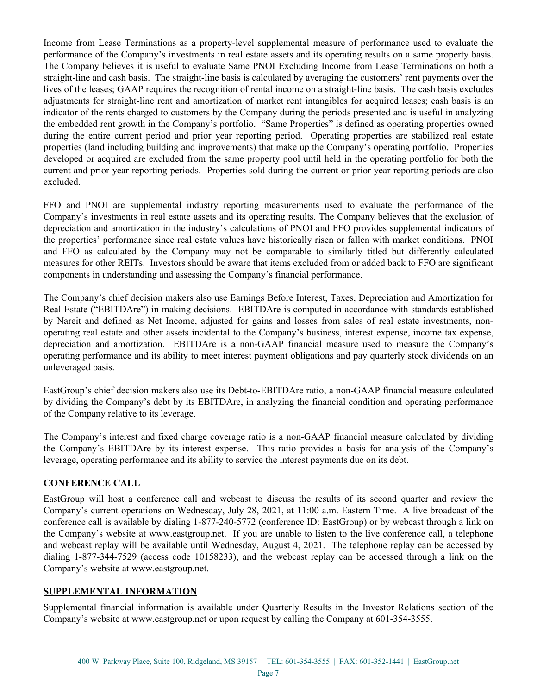Income from Lease Terminations as a property-level supplemental measure of performance used to evaluate the performance of the Company's investments in real estate assets and its operating results on a same property basis. The Company believes it is useful to evaluate Same PNOI Excluding Income from Lease Terminations on both a straight-line and cash basis. The straight-line basis is calculated by averaging the customers' rent payments over the lives of the leases; GAAP requires the recognition of rental income on a straight-line basis. The cash basis excludes adjustments for straight-line rent and amortization of market rent intangibles for acquired leases; cash basis is an indicator of the rents charged to customers by the Company during the periods presented and is useful in analyzing the embedded rent growth in the Company's portfolio. "Same Properties" is defined as operating properties owned during the entire current period and prior year reporting period. Operating properties are stabilized real estate properties (land including building and improvements) that make up the Company's operating portfolio. Properties developed or acquired are excluded from the same property pool until held in the operating portfolio for both the current and prior year reporting periods. Properties sold during the current or prior year reporting periods are also excluded.

FFO and PNOI are supplemental industry reporting measurements used to evaluate the performance of the Company's investments in real estate assets and its operating results. The Company believes that the exclusion of depreciation and amortization in the industry's calculations of PNOI and FFO provides supplemental indicators of the properties' performance since real estate values have historically risen or fallen with market conditions. PNOI and FFO as calculated by the Company may not be comparable to similarly titled but differently calculated measures for other REITs. Investors should be aware that items excluded from or added back to FFO are significant components in understanding and assessing the Company's financial performance.

The Company's chief decision makers also use Earnings Before Interest, Taxes, Depreciation and Amortization for Real Estate ("EBITDAre") in making decisions. EBITDAre is computed in accordance with standards established by Nareit and defined as Net Income, adjusted for gains and losses from sales of real estate investments, nonoperating real estate and other assets incidental to the Company's business, interest expense, income tax expense, depreciation and amortization. EBITDAre is a non-GAAP financial measure used to measure the Company's operating performance and its ability to meet interest payment obligations and pay quarterly stock dividends on an unleveraged basis.

EastGroup's chief decision makers also use its Debt-to-EBITDAre ratio, a non-GAAP financial measure calculated by dividing the Company's debt by its EBITDAre, in analyzing the financial condition and operating performance of the Company relative to its leverage.

The Company's interest and fixed charge coverage ratio is a non-GAAP financial measure calculated by dividing the Company's EBITDAre by its interest expense. This ratio provides a basis for analysis of the Company's leverage, operating performance and its ability to service the interest payments due on its debt.

#### **CONFERENCE CALL**

EastGroup will host a conference call and webcast to discuss the results of its second quarter and review the Company's current operations on Wednesday, July 28, 2021, at 11:00 a.m. Eastern Time. A live broadcast of the conference call is available by dialing 1-877-240-5772 (conference ID: EastGroup) or by webcast through a link on the Company's website at www.eastgroup.net. If you are unable to listen to the live conference call, a telephone and webcast replay will be available until Wednesday, August 4, 2021. The telephone replay can be accessed by dialing 1-877-344-7529 (access code 10158233), and the webcast replay can be accessed through a link on the Company's website at www.eastgroup.net.

#### **SUPPLEMENTAL INFORMATION**

Supplemental financial information is available under Quarterly Results in the Investor Relations section of the Company's website at www.eastgroup.net or upon request by calling the Company at 601-354-3555.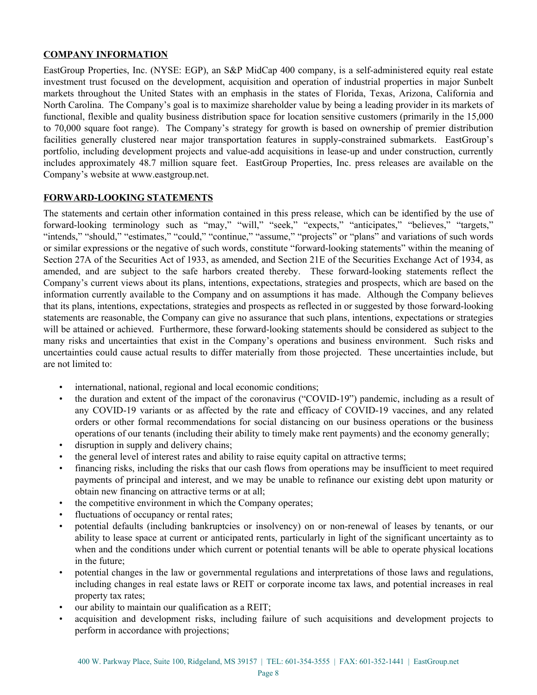#### **COMPANY INFORMATION**

EastGroup Properties, Inc. (NYSE: EGP), an S&P MidCap 400 company, is a self-administered equity real estate investment trust focused on the development, acquisition and operation of industrial properties in major Sunbelt markets throughout the United States with an emphasis in the states of Florida, Texas, Arizona, California and North Carolina. The Company's goal is to maximize shareholder value by being a leading provider in its markets of functional, flexible and quality business distribution space for location sensitive customers (primarily in the 15,000 to 70,000 square foot range). The Company's strategy for growth is based on ownership of premier distribution facilities generally clustered near major transportation features in supply-constrained submarkets. EastGroup's portfolio, including development projects and value-add acquisitions in lease-up and under construction, currently includes approximately 48.7 million square feet. EastGroup Properties, Inc. press releases are available on the Company's website at www.eastgroup.net.

#### **FORWARD-LOOKING STATEMENTS**

The statements and certain other information contained in this press release, which can be identified by the use of forward-looking terminology such as "may," "will," "seek," "expects," "anticipates," "believes," "targets," "intends," "should," "estimates," "could," "continue," "assume," "projects" or "plans" and variations of such words or similar expressions or the negative of such words, constitute "forward-looking statements" within the meaning of Section 27A of the Securities Act of 1933, as amended, and Section 21E of the Securities Exchange Act of 1934, as amended, and are subject to the safe harbors created thereby. These forward-looking statements reflect the Company's current views about its plans, intentions, expectations, strategies and prospects, which are based on the information currently available to the Company and on assumptions it has made. Although the Company believes that its plans, intentions, expectations, strategies and prospects as reflected in or suggested by those forward-looking statements are reasonable, the Company can give no assurance that such plans, intentions, expectations or strategies will be attained or achieved. Furthermore, these forward-looking statements should be considered as subject to the many risks and uncertainties that exist in the Company's operations and business environment. Such risks and uncertainties could cause actual results to differ materially from those projected. These uncertainties include, but are not limited to:

- international, national, regional and local economic conditions;
- the duration and extent of the impact of the coronavirus ("COVID-19") pandemic, including as a result of any COVID-19 variants or as affected by the rate and efficacy of COVID-19 vaccines, and any related orders or other formal recommendations for social distancing on our business operations or the business operations of our tenants (including their ability to timely make rent payments) and the economy generally;
- disruption in supply and delivery chains;
- the general level of interest rates and ability to raise equity capital on attractive terms;
- financing risks, including the risks that our cash flows from operations may be insufficient to meet required payments of principal and interest, and we may be unable to refinance our existing debt upon maturity or obtain new financing on attractive terms or at all;
- the competitive environment in which the Company operates;
- fluctuations of occupancy or rental rates;
- potential defaults (including bankruptcies or insolvency) on or non-renewal of leases by tenants, or our ability to lease space at current or anticipated rents, particularly in light of the significant uncertainty as to when and the conditions under which current or potential tenants will be able to operate physical locations in the future;
- potential changes in the law or governmental regulations and interpretations of those laws and regulations, including changes in real estate laws or REIT or corporate income tax laws, and potential increases in real property tax rates;
- our ability to maintain our qualification as a REIT;
- acquisition and development risks, including failure of such acquisitions and development projects to perform in accordance with projections;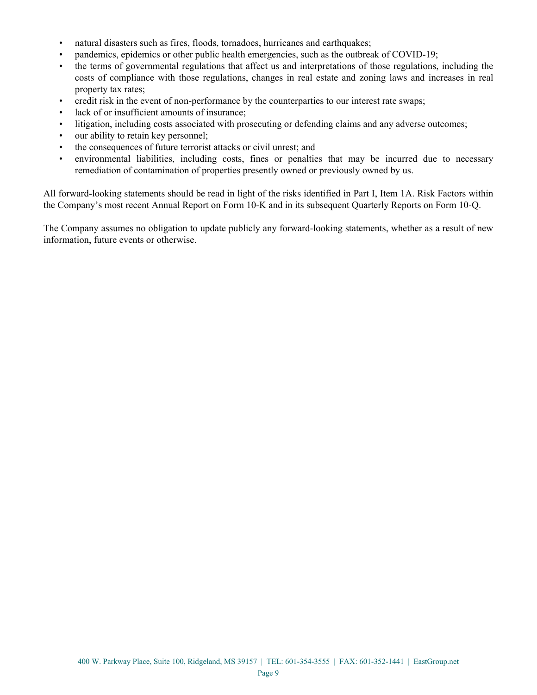- natural disasters such as fires, floods, tornadoes, hurricanes and earthquakes;
- pandemics, epidemics or other public health emergencies, such as the outbreak of COVID-19;
- the terms of governmental regulations that affect us and interpretations of those regulations, including the costs of compliance with those regulations, changes in real estate and zoning laws and increases in real property tax rates;
- credit risk in the event of non-performance by the counterparties to our interest rate swaps;
- lack of or insufficient amounts of insurance:
- litigation, including costs associated with prosecuting or defending claims and any adverse outcomes;
- our ability to retain key personnel;
- the consequences of future terrorist attacks or civil unrest; and
- environmental liabilities, including costs, fines or penalties that may be incurred due to necessary remediation of contamination of properties presently owned or previously owned by us.

All forward-looking statements should be read in light of the risks identified in Part I, Item 1A. Risk Factors within the Company's most recent Annual Report on Form 10-K and in its subsequent Quarterly Reports on Form 10-Q.

The Company assumes no obligation to update publicly any forward-looking statements, whether as a result of new information, future events or otherwise.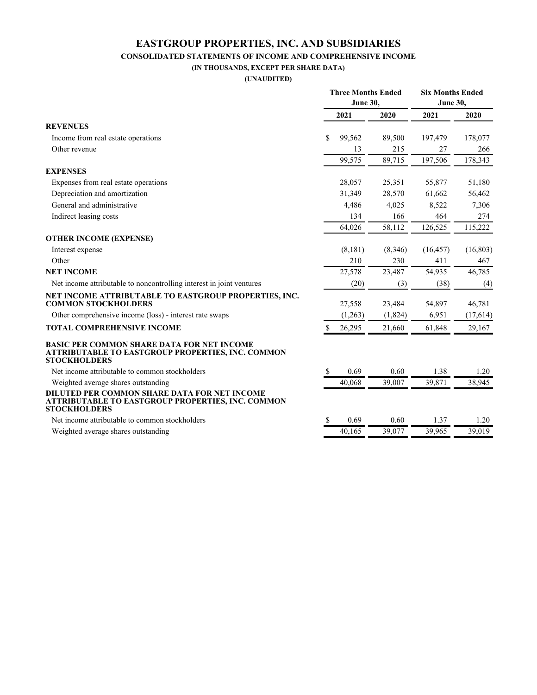#### **EASTGROUP PROPERTIES, INC. AND SUBSIDIARIES CONSOLIDATED STATEMENTS OF INCOME AND COMPREHENSIVE INCOME**

**(IN THOUSANDS, EXCEPT PER SHARE DATA) (UNAUDITED)**

|                                                                                                                                      | <b>Three Months Ended</b><br><b>June 30,</b> |         |         | <b>Six Months Ended</b><br>June 30, |           |  |
|--------------------------------------------------------------------------------------------------------------------------------------|----------------------------------------------|---------|---------|-------------------------------------|-----------|--|
|                                                                                                                                      |                                              | 2021    | 2020    | 2021                                | 2020      |  |
| <b>REVENUES</b>                                                                                                                      |                                              |         |         |                                     |           |  |
| Income from real estate operations                                                                                                   | \$                                           | 99,562  | 89,500  | 197,479                             | 178,077   |  |
| Other revenue                                                                                                                        |                                              | 13      | 215     | 27                                  | 266       |  |
|                                                                                                                                      |                                              | 99,575  | 89,715  | 197,506                             | 178,343   |  |
| <b>EXPENSES</b>                                                                                                                      |                                              |         |         |                                     |           |  |
| Expenses from real estate operations                                                                                                 |                                              | 28,057  | 25,351  | 55,877                              | 51,180    |  |
| Depreciation and amortization                                                                                                        |                                              | 31,349  | 28,570  | 61,662                              | 56,462    |  |
| General and administrative                                                                                                           |                                              | 4,486   | 4,025   | 8,522                               | 7,306     |  |
| Indirect leasing costs                                                                                                               |                                              | 134     | 166     | 464                                 | 274       |  |
|                                                                                                                                      |                                              | 64,026  | 58,112  | 126,525                             | 115,222   |  |
| <b>OTHER INCOME (EXPENSE)</b>                                                                                                        |                                              |         |         |                                     |           |  |
| Interest expense                                                                                                                     |                                              | (8,181) | (8,346) | (16, 457)                           | (16, 803) |  |
| Other                                                                                                                                |                                              | 210     | 230     | 411                                 | 467       |  |
| <b>NET INCOME</b>                                                                                                                    |                                              | 27,578  | 23,487  | 54,935                              | 46,785    |  |
| Net income attributable to noncontrolling interest in joint ventures                                                                 |                                              | (20)    | (3)     | (38)                                | (4)       |  |
| NET INCOME ATTRIBUTABLE TO EASTGROUP PROPERTIES, INC.<br><b>COMMON STOCKHOLDERS</b>                                                  |                                              | 27,558  | 23,484  | 54,897                              | 46,781    |  |
| Other comprehensive income (loss) - interest rate swaps                                                                              |                                              | (1,263) | (1,824) | 6,951                               | (17, 614) |  |
| TOTAL COMPREHENSIVE INCOME                                                                                                           | \$                                           | 26,295  | 21,660  | 61,848                              | 29,167    |  |
| <b>BASIC PER COMMON SHARE DATA FOR NET INCOME</b><br><b>ATTRIBUTABLE TO EASTGROUP PROPERTIES, INC. COMMON</b><br><b>STOCKHOLDERS</b> |                                              |         |         |                                     |           |  |
| Net income attributable to common stockholders                                                                                       | <sup>\$</sup>                                | 0.69    | 0.60    | 1.38                                | 1.20      |  |
| Weighted average shares outstanding                                                                                                  |                                              | 40,068  | 39,007  | 39,871                              | 38,945    |  |
| DILUTED PER COMMON SHARE DATA FOR NET INCOME<br>ATTRIBUTABLE TO EASTGROUP PROPERTIES, INC. COMMON<br><b>STOCKHOLDERS</b>             |                                              |         |         |                                     |           |  |
| Net income attributable to common stockholders                                                                                       | -S                                           | 0.69    | 0.60    | 1.37                                | 1.20      |  |
| Weighted average shares outstanding                                                                                                  |                                              | 40.165  | 39.077  | 39.965                              | 39,019    |  |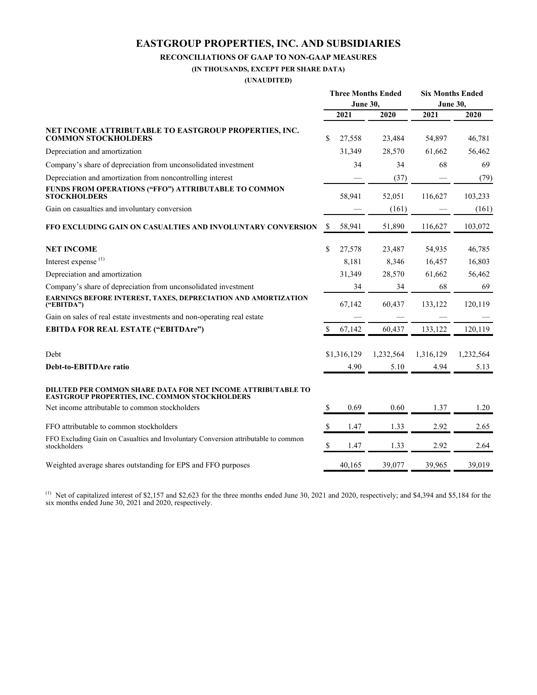### **EASTGROUP PROPERTIES, INC. AND SUBSIDIARIES**

#### **RECONCILIATIONS OF GAAP TO NON-GAAP MEASURES**

**(IN THOUSANDS, EXCEPT PER SHARE DATA)**

**(UNAUDITED)**

|                                                                                                                       | <b>Three Months Ended</b><br>June 30, |             |           | <b>Six Months Ended</b><br><b>June 30,</b> |           |
|-----------------------------------------------------------------------------------------------------------------------|---------------------------------------|-------------|-----------|--------------------------------------------|-----------|
|                                                                                                                       | 2021                                  |             | 2020      | 2021                                       | 2020      |
| NET INCOME ATTRIBUTABLE TO EASTGROUP PROPERTIES, INC.<br><b>COMMON STOCKHOLDERS</b>                                   | \$                                    | 27,558      | 23,484    | 54,897                                     | 46,781    |
| Depreciation and amortization                                                                                         |                                       | 31,349      | 28,570    | 61,662                                     | 56,462    |
| Company's share of depreciation from unconsolidated investment                                                        |                                       | 34          | 34        | 68                                         | 69        |
| Depreciation and amortization from noncontrolling interest                                                            |                                       |             | (37)      |                                            | (79)      |
| FUNDS FROM OPERATIONS ("FFO") ATTRIBUTABLE TO COMMON<br><b>STOCKHOLDERS</b>                                           |                                       | 58,941      | 52,051    | 116,627                                    | 103,233   |
| Gain on casualties and involuntary conversion                                                                         |                                       |             | (161)     |                                            | (161)     |
| FFO EXCLUDING GAIN ON CASUALTIES AND INVOLUNTARY CONVERSION                                                           | \$                                    | 58,941      | 51,890    | 116,627                                    | 103,072   |
| <b>NET INCOME</b>                                                                                                     | \$                                    | 27,578      | 23,487    | 54,935                                     | 46,785    |
| Interest expense <sup>(1)</sup>                                                                                       |                                       | 8,181       | 8,346     | 16,457                                     | 16,803    |
| Depreciation and amortization                                                                                         |                                       | 31,349      | 28,570    | 61,662                                     | 56,462    |
| Company's share of depreciation from unconsolidated investment                                                        |                                       | 34          | 34        | 68                                         | 69        |
| EARNINGS BEFORE INTEREST, TAXES, DEPRECIATION AND AMORTIZATION<br>$($ "EBITDA" $)$                                    |                                       | 67,142      | 60,437    | 133,122                                    | 120,119   |
| Gain on sales of real estate investments and non-operating real estate                                                |                                       |             |           |                                            |           |
| <b>EBITDA FOR REAL ESTATE ("EBITDAre")</b>                                                                            | $\mathbb{S}$                          | 67,142      | 60,437    | 133,122                                    | 120,119   |
| Debt                                                                                                                  |                                       | \$1,316,129 | 1,232,564 | 1,316,129                                  | 1,232,564 |
| Debt-to-EBITDAre ratio                                                                                                |                                       | 4.90        | 5.10      | 4.94                                       | 5.13      |
| DILUTED PER COMMON SHARE DATA FOR NET INCOME ATTRIBUTABLE TO<br><b>EASTGROUP PROPERTIES, INC. COMMON STOCKHOLDERS</b> |                                       |             |           |                                            |           |
| Net income attributable to common stockholders                                                                        | S                                     | 0.69        | 0.60      | 1.37                                       | 1.20      |
| FFO attributable to common stockholders                                                                               | \$                                    | 1.47        | 1.33      | 2.92                                       | 2.65      |
| FFO Excluding Gain on Casualties and Involuntary Conversion attributable to common<br>stockholders                    | S                                     | 1.47        | 1.33      | 2.92                                       | 2.64      |
| Weighted average shares outstanding for EPS and FFO purposes                                                          |                                       | 40,165      | 39,077    | 39,965                                     | 39,019    |

<sup>(1)</sup> Net of capitalized interest of \$2,157 and \$2,623 for the three months ended June 30, 2021 and 2020, respectively; and \$4,394 and \$5,184 for the six months ended June 30, 2021 and 2020, respectively.